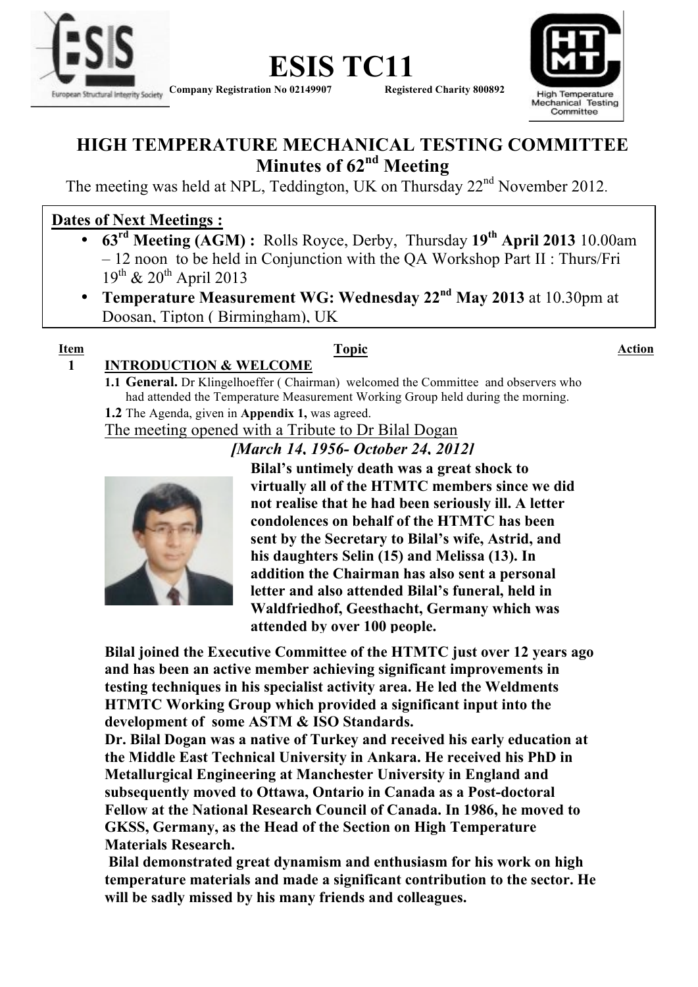



### **HIGH TEMPERATURE MECHANICAL TESTING COMMITTEE Minutes of 62nd Meeting**

The meeting was held at NPL, Teddington, UK on Thursday 22nd November 2012.

#### **Dates of Next Meetings :**

- **63rd Meeting (AGM) :** Rolls Royce, Derby, Thursday **19th April 2013** 10.00am – 12 noon to be held in Conjunction with the QA Workshop Part II : Thurs/Fri  $19^{th}$  &  $20^{th}$  April 2013
- **Temperature Measurement WG: Wednesday 22nd May 2013** at 10.30pm at Doosan, Tipton ( Birmingham), UK

# *[ Please note these dates in your diaries – Thank you]*

#### **Item Topic Action**

### **1 INTRODUCTION & WELCOME**

**1.1 General.** Dr Klingelhoeffer ( Chairman) welcomed the Committee and observers who had attended the Temperature Measurement Working Group held during the morning. **1.2** The Agenda, given in **Appendix 1,** was agreed.

The meeting opened with a Tribute to Dr Bilal Dogan

#### *[March 14, 1956- October 24, 2012]*



**Bilal's untimely death was a great shock to virtually all of the HTMTC members since we did not realise that he had been seriously ill. A letter condolences on behalf of the HTMTC has been sent by the Secretary to Bilal's wife, Astrid, and his daughters Selin (15) and Melissa (13). In addition the Chairman has also sent a personal letter and also attended Bilal's funeral, held in Waldfriedhof, Geesthacht, Germany which was attended by over 100 people.**

**Bilal joined the Executive Committee of the HTMTC just over 12 years ago and has been an active member achieving significant improvements in testing techniques in his specialist activity area. He led the Weldments HTMTC Working Group which provided a significant input into the development of some ASTM & ISO Standards.** 

**Dr. Bilal Dogan was a native of Turkey and received his early education at the Middle East Technical University in Ankara. He received his PhD in Metallurgical Engineering at Manchester University in England and subsequently moved to Ottawa, Ontario in Canada as a Post-doctoral Fellow at the National Research Council of Canada. In 1986, he moved to GKSS, Germany, as the Head of the Section on High Temperature Materials Research.** 

**Bilal demonstrated great dynamism and enthusiasm for his work on high temperature materials and made a significant contribution to the sector. He will be sadly missed by his many friends and colleagues.**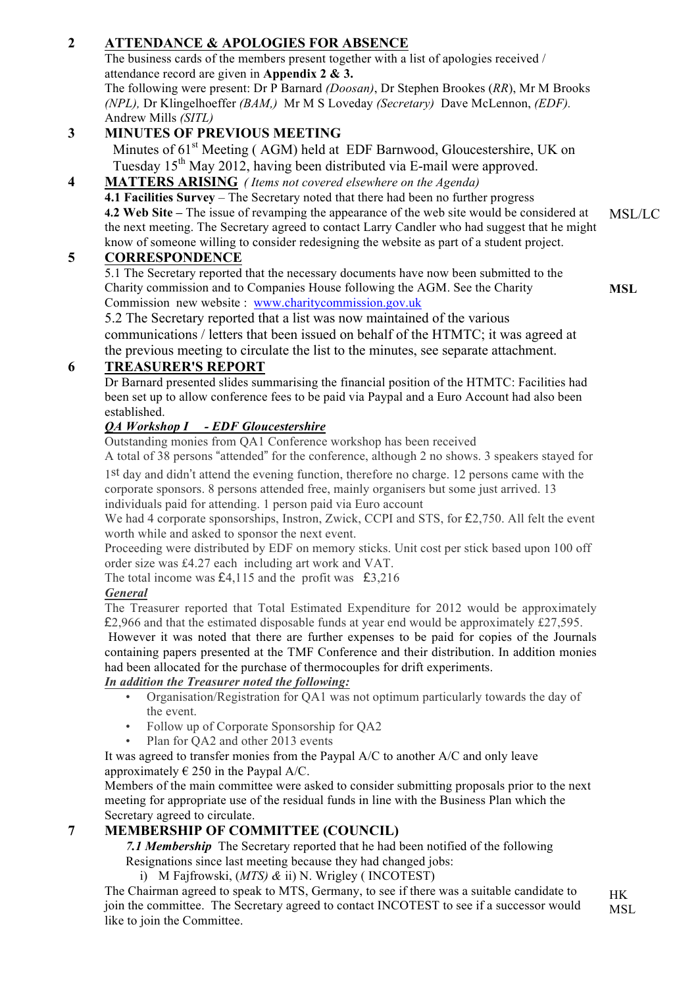#### **2 ATTENDANCE & APOLOGIES FOR ABSENCE**

The business cards of the members present together with a list of apologies received / attendance record are given in **Appendix 2 & 3.**

The following were present: Dr P Barnard *(Doosan)*, Dr Stephen Brookes (*RR*), Mr M Brooks *(NPL),* Dr Klingelhoeffer *(BAM,)* Mr M S Loveday *(Secretary)* Dave McLennon, *(EDF).*  Andrew Mills *(SITL)*

#### **3 MINUTES OF PREVIOUS MEETING**

Minutes of 61<sup>st</sup> Meeting (AGM) held at EDF Barnwood, Gloucestershire, UK on Tuesday 15<sup>th</sup> May 2012, having been distributed via E-mail were approved.

**4 MATTERS ARISING** *( Items not covered elsewhere on the Agenda)* **4.1 Facilities Survey** – The Secretary noted that there had been no further progress **4.2 Web Site –** The issue of revamping the appearance of the web site would be considered at the next meeting. The Secretary agreed to contact Larry Candler who had suggest that he might know of someone willing to consider redesigning the website as part of a student project. MSL/LC

#### **5 CORRESPONDENCE**

5.1 The Secretary reported that the necessary documents have now been submitted to the Charity commission and to Companies House following the AGM. See the Charity Commission new website : www.charitycommission.gov.uk

**MSL**

5.2 The Secretary reported that a list was now maintained of the various communications / letters that been issued on behalf of the HTMTC; it was agreed at the previous meeting to circulate the list to the minutes, see separate attachment.

#### **6 TREASURER'S REPORT**

Dr Barnard presented slides summarising the financial position of the HTMTC: Facilities had been set up to allow conference fees to be paid via Paypal and a Euro Account had also been established.

#### *QA Workshop I - EDF Gloucestershire*

Outstanding monies from QA1 Conference workshop has been received

A total of 38 persons "attended" for the conference, although 2 no shows. 3 speakers stayed for

1st day and didn't attend the evening function, therefore no charge. 12 persons came with the corporate sponsors. 8 persons attended free, mainly organisers but some just arrived. 13 individuals paid for attending. 1 person paid via Euro account

We had 4 corporate sponsorships, Instron, Zwick, CCPI and STS, for £2,750. All felt the event worth while and asked to sponsor the next event.

Proceeding were distributed by EDF on memory sticks. Unit cost per stick based upon 100 off order size was £4.27 each including art work and VAT.

The total income was  $£4,115$  and the profit was  $£3,216$ 

#### *General*

The Treasurer reported that Total Estimated Expenditure for 2012 would be approximately £2,966 and that the estimated disposable funds at year end would be approximately £27,595.

However it was noted that there are further expenses to be paid for copies of the Journals containing papers presented at the TMF Conference and their distribution. In addition monies had been allocated for the purchase of thermocouples for drift experiments.

#### *In addition the Treasurer noted the following:*

- Organisation/Registration for QA1 was not optimum particularly towards the day of the event.
- Follow up of Corporate Sponsorship for QA2
- Plan for OA2 and other 2013 events

It was agreed to transfer monies from the Paypal A/C to another A/C and only leave approximately  $\in$  250 in the Paypal A/C.

Members of the main committee were asked to consider submitting proposals prior to the next meeting for appropriate use of the residual funds in line with the Business Plan which the Secretary agreed to circulate.

#### **7 MEMBERSHIP OF COMMITTEE (COUNCIL)**

*7.1 Membership* The Secretary reported that he had been notified of the following

Resignations since last meeting because they had changed jobs: i) M Fajfrowski, (*MTS) &* ii) N. Wrigley ( INCOTEST)

The Chairman agreed to speak to MTS, Germany, to see if there was a suitable candidate to join the committee. The Secretary agreed to contact INCOTEST to see if a successor would like to join the Committee. HK

**MSL**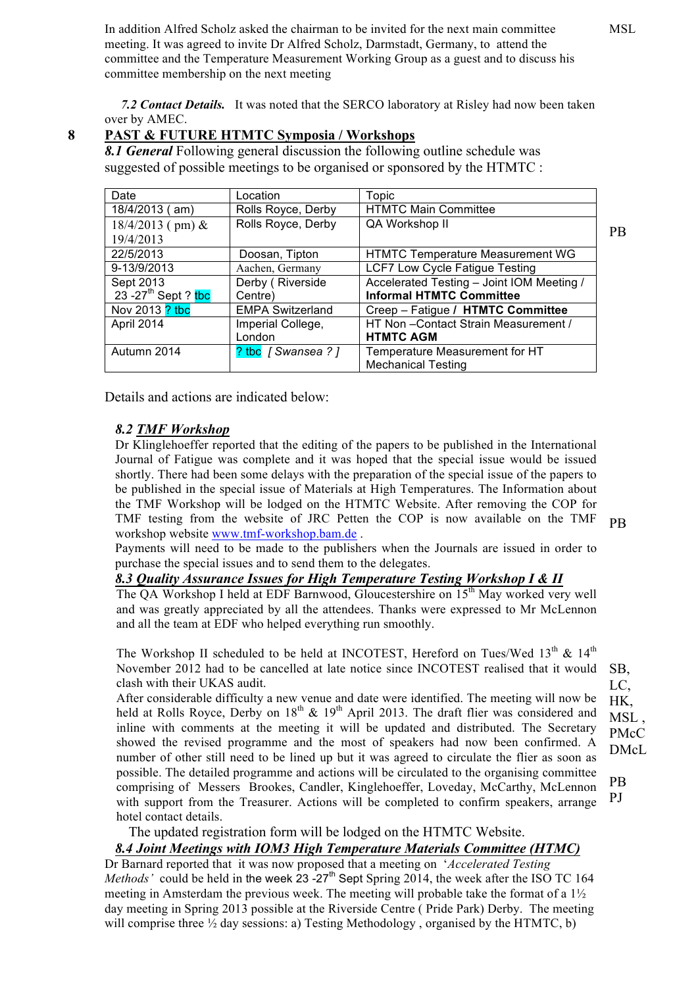In addition Alfred Scholz asked the chairman to be invited for the next main committee meeting. It was agreed to invite Dr Alfred Scholz, Darmstadt, Germany, to attend the committee and the Temperature Measurement Working Group as a guest and to discuss his committee membership on the next meeting

MSL

 *7.2 Contact Details.* It was noted that the SERCO laboratory at Risley had now been taken over by AMEC.

#### **8 PAST & FUTURE HTMTC Symposia / Workshops**

*8.1 General* Following general discussion the following outline schedule was suggested of possible meetings to be organised or sponsored by the HTMTC :

| Date                            | Location                | Topic                                     |           |  |
|---------------------------------|-------------------------|-------------------------------------------|-----------|--|
| $18/4/2013$ (am)                | Rolls Royce, Derby      | <b>HTMTC Main Committee</b>               |           |  |
| $18/4/2013$ (pm) &              | Rolls Royce, Derby      | QA Workshop II                            |           |  |
| 19/4/2013                       |                         |                                           | <b>PB</b> |  |
| 22/5/2013                       | Doosan, Tipton          | <b>HTMTC Temperature Measurement WG</b>   |           |  |
| 9-13/9/2013                     | Aachen, Germany         | <b>LCF7 Low Cycle Fatigue Testing</b>     |           |  |
| Sept 2013                       | Derby (Riverside        | Accelerated Testing - Joint IOM Meeting / |           |  |
| 23 -27 <sup>th</sup> Sept ? tbc | Centre)                 | <b>Informal HTMTC Committee</b>           |           |  |
| Nov 2013 ? tbc                  | <b>EMPA Switzerland</b> | Creep - Fatigue / HTMTC Committee         |           |  |
| April 2014                      | Imperial College,       | HT Non-Contact Strain Measurement /       |           |  |
|                                 | London                  | <b>HTMTC AGM</b>                          |           |  |
| Autumn 2014                     | ? tbc [Swansea?]        | Temperature Measurement for HT            |           |  |
|                                 |                         | <b>Mechanical Testing</b>                 |           |  |

Details and actions are indicated below:

#### *8.2 TMF Workshop*

Dr Klinglehoeffer reported that the editing of the papers to be published in the International Journal of Fatigue was complete and it was hoped that the special issue would be issued shortly. There had been some delays with the preparation of the special issue of the papers to be published in the special issue of Materials at High Temperatures. The Information about the TMF Workshop will be lodged on the HTMTC Website. After removing the COP for TMF testing from the website of JRC Petten the COP is now available on the TMF workshop website www.tmf-workshop.bam.de .

PB

SB, LC, HK, MSL. PMcC DMcL

PB PJ

Payments will need to be made to the publishers when the Journals are issued in order to purchase the special issues and to send them to the delegates.

#### *8.3 Quality Assurance Issues for High Temperature Testing Workshop I & II*

The QA Workshop I held at EDF Barnwood, Gloucestershire on 15<sup>th</sup> May worked very well and was greatly appreciated by all the attendees. Thanks were expressed to Mr McLennon and all the team at EDF who helped everything run smoothly.

The Workshop II scheduled to be held at INCOTEST, Hereford on Tues/Wed  $13<sup>th</sup>$  &  $14<sup>th</sup>$ November 2012 had to be cancelled at late notice since INCOTEST realised that it would clash with their UKAS audit.

After considerable difficulty a new venue and date were identified. The meeting will now be held at Rolls Royce, Derby on  $18<sup>th</sup>$  &  $19<sup>th</sup>$  April 2013. The draft flier was considered and inline with comments at the meeting it will be updated and distributed. The Secretary showed the revised programme and the most of speakers had now been confirmed. A number of other still need to be lined up but it was agreed to circulate the flier as soon as possible. The detailed programme and actions will be circulated to the organising committee comprising of Messers Brookes, Candler, Kinglehoeffer, Loveday, McCarthy, McLennon with support from the Treasurer. Actions will be completed to confirm speakers, arrange hotel contact details.

The updated registration form will be lodged on the HTMTC Website.

#### *8.4 Joint Meetings with IOM3 High Temperature Materials Committee (HTMC)*

Dr Barnard reported that it was now proposed that a meeting on '*Accelerated Testing Methods'* could be held in the week  $23 -27$ <sup>th</sup> Sept Spring 2014, the week after the ISO TC 164 meeting in Amsterdam the previous week. The meeting will probable take the format of a 1½ day meeting in Spring 2013 possible at the Riverside Centre ( Pride Park) Derby. The meeting will comprise three  $\frac{1}{2}$  day sessions: a) Testing Methodology, organised by the HTMTC, b)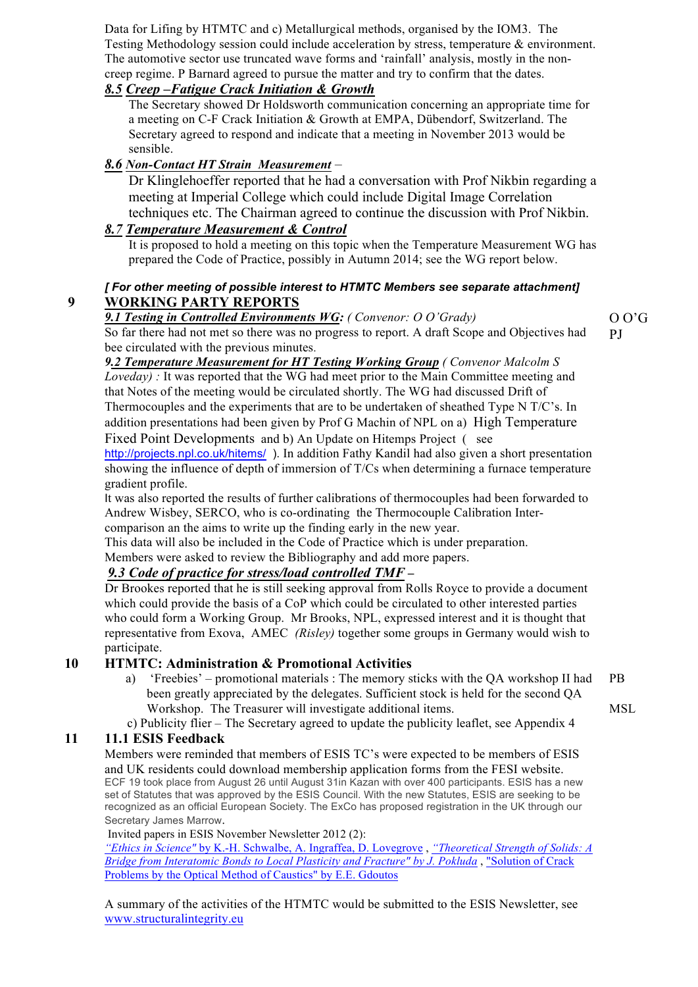Data for Lifing by HTMTC and c) Metallurgical methods, organised by the IOM3. The Testing Methodology session could include acceleration by stress, temperature & environment. The automotive sector use truncated wave forms and 'rainfall' analysis, mostly in the noncreep regime. P Barnard agreed to pursue the matter and try to confirm that the dates.

#### *8.5 Creep –Fatigue Crack Initiation & Growth*

The Secretary showed Dr Holdsworth communication concerning an appropriate time for a meeting on C-F Crack Initiation & Growth at EMPA, Dübendorf, Switzerland. The Secretary agreed to respond and indicate that a meeting in November 2013 would be sensible.

#### *8.6 Non-Contact HT Strain Measurement* –

Dr Klinglehoeffer reported that he had a conversation with Prof Nikbin regarding a meeting at Imperial College which could include Digital Image Correlation techniques etc. The Chairman agreed to continue the discussion with Prof Nikbin.

#### *8.7 Temperature Measurement & Control*

It is proposed to hold a meeting on this topic when the Temperature Measurement WG has prepared the Code of Practice, possibly in Autumn 2014; see the WG report below.

#### *[ For other meeting of possible interest to HTMTC Members see separate attachment]* **9 WORKING PARTY REPORTS**

#### *9.1 Testing in Controlled Environments WG: ( Convenor: O O'Grady)*

So far there had not met so there was no progress to report. A draft Scope and Objectives had bee circulated with the previous minutes.

*9.2 Temperature Measurement for HT Testing Working Group ( Convenor Malcolm S Loveday*) : It was reported that the WG had meet prior to the Main Committee meeting and that Notes of the meeting would be circulated shortly. The WG had discussed Drift of Thermocouples and the experiments that are to be undertaken of sheathed Type N T/C's. In addition presentations had been given by Prof G Machin of NPL on a) High Temperature

Fixed Point Developments and b) An Update on Hitemps Project ( see http://projects.npl.co.uk/hitems/ ). In addition Fathy Kandil had also given a short presentation showing the influence of depth of immersion of T/Cs when determining a furnace temperature gradient profile.

It was also reported the results of further calibrations of thermocouples had been forwarded to Andrew Wisbey, SERCO, who is co-ordinating the Thermocouple Calibration Intercomparison an the aims to write up the finding early in the new year.

This data will also be included in the Code of Practice which is under preparation.

Members were asked to review the Bibliography and add more papers.

#### *9.3 Code of practice for stress/load controlled TMF –*

Dr Brookes reported that he is still seeking approval from Rolls Royce to provide a document which could provide the basis of a CoP which could be circulated to other interested parties who could form a Working Group. Mr Brooks, NPL, expressed interest and it is thought that representative from Exova, AMEC *(Risley)* together some groups in Germany would wish to participate.

#### **10 HTMTC: Administration & Promotional Activities**

- a) 'Freebies' promotional materials : The memory sticks with the QA workshop II had been greatly appreciated by the delegates. Sufficient stock is held for the second QA Workshop. The Treasurer will investigate additional items.
- c) Publicity flier The Secretary agreed to update the publicity leaflet, see Appendix 4

#### **11 11.1 ESIS Feedback**

Members were reminded that members of ESIS TC's were expected to be members of ESIS and UK residents could download membership application forms from the FESI website. ECF 19 took place from August 26 until August 31in Kazan with over 400 participants. ESIS has a new set of Statutes that was approved by the ESIS Council. With the new Statutes, ESIS are seeking to be recognized as an official European Society. The ExCo has proposed registration in the UK through our Secretary James Marrow.

Invited papers in ESIS November Newsletter 2012 (2):

*"Ethics in Science"* by K.-H. Schwalbe, A. Ingraffea, D. Lovegrove , *"Theoretical Strength of Solids: A Bridge from Interatomic Bonds to Local Plasticity and Fracture" by J. Pokluda* , "Solution of Crack Problems by the Optical Method of Caustics" by E.E. Gdoutos

A summary of the activities of the HTMTC would be submitted to the ESIS Newsletter, see www.structuralintegrity.eu

### PB

O O'G PJ

MSL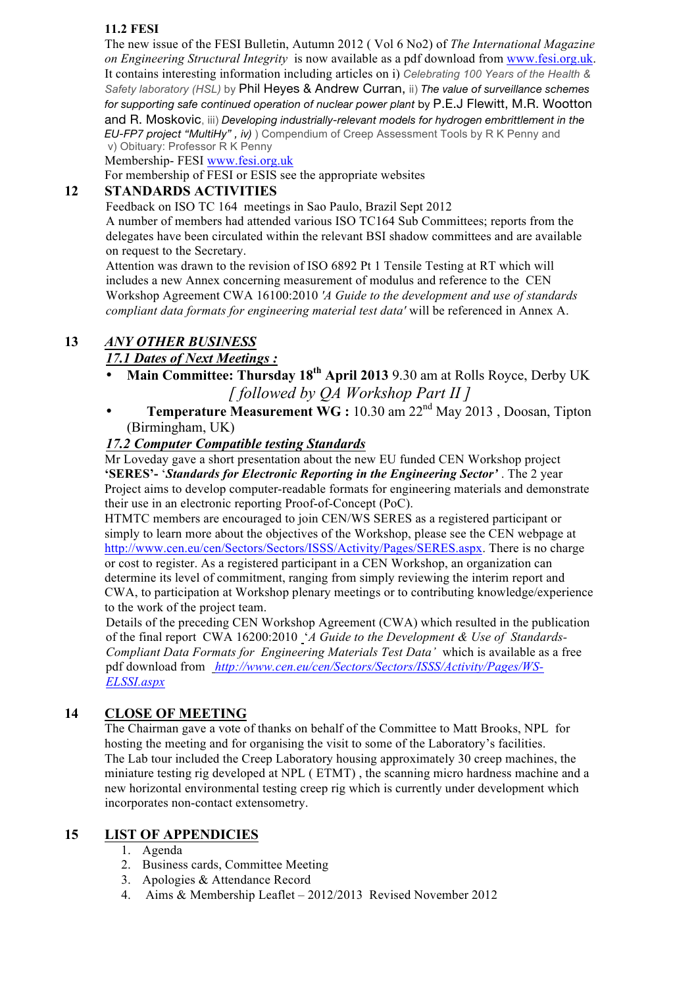#### **11.2 FESI**

The new issue of the FESI Bulletin, Autumn 2012 ( Vol 6 No2) of *The International Magazine on Engineering Structural Integrity* is now available as a pdf download from www.fesi.org.uk. It contains interesting information including articles on i) *Celebrating 100 Years of the Health & Safety laboratory (HSL)* by Phil Heyes & Andrew Curran, ii) *The value of surveillance schemes for supporting safe continued operation of nuclear power plant* by P.E.J Flewitt, M.R. Wootton and R. Moskovic, iii) *Developing industrially-relevant models for hydrogen embrittlement in the EU-FP7 project "MultiHy" , iv)* ) Compendium of Creep Assessment Tools by R K Penny and v) Obituary: Professor R K Penny

Membership- FESI www.fesi.org.uk

For membership of FESI or ESIS see the appropriate websites

#### **12 STANDARDS ACTIVITIES**

Feedback on ISO TC 164 meetings in Sao Paulo, Brazil Sept 2012 A number of members had attended various ISO TC164 Sub Committees; reports from the delegates have been circulated within the relevant BSI shadow committees and are available on request to the Secretary.

Attention was drawn to the revision of ISO 6892 Pt 1 Tensile Testing at RT which will includes a new Annex concerning measurement of modulus and reference to the CEN Workshop Agreement CWA 16100:2010 *'A Guide to the development and use of standards compliant data formats for engineering material test data'* will be referenced in Annex A.

#### **13** *ANY OTHER BUSINESS*

#### *17.1 Dates of Next Meetings :*

- **Main Committee: Thursday 18th April 2013** 9.30 am at Rolls Royce, Derby UK  *[ followed by QA Workshop Part II ]*
- **Temperature Measurement WG :** 10.30 am 22nd May 2013 , Doosan, Tipton (Birmingham, UK)

#### *17.2 Computer Compatible testing Standards*

Mr Loveday gave a short presentation about the new EU funded CEN Workshop project **'SERES'-** '*Standards for Electronic Reporting in the Engineering Sector'* . The 2 year Project aims to develop computer-readable formats for engineering materials and demonstrate their use in an electronic reporting Proof-of-Concept (PoC).

HTMTC members are encouraged to join CEN/WS SERES as a registered participant or simply to learn more about the objectives of the Workshop, please see the CEN webpage at http://www.cen.eu/cen/Sectors/Sectors/ISSS/Activity/Pages/SERES.aspx. There is no charge or cost to register. As a registered participant in a CEN Workshop, an organization can determine its level of commitment, ranging from simply reviewing the interim report and CWA, to participation at Workshop plenary meetings or to contributing knowledge/experience to the work of the project team.

Details of the preceding CEN Workshop Agreement (CWA) which resulted in the publication of the final report CWA 16200:2010 '*A Guide to the Development & Use of Standards-Compliant Data Formats for Engineering Materials Test Data'* which is available as a free pdf download from *http://www.cen.eu/cen/Sectors/Sectors/ISSS/Activity/Pages/WS-ELSSI.aspx*

#### **14 CLOSE OF MEETING**

The Chairman gave a vote of thanks on behalf of the Committee to Matt Brooks, NPL for hosting the meeting and for organising the visit to some of the Laboratory's facilities. The Lab tour included the Creep Laboratory housing approximately 30 creep machines, the miniature testing rig developed at NPL ( ETMT) , the scanning micro hardness machine and a new horizontal environmental testing creep rig which is currently under development which incorporates non-contact extensometry.

#### **15 LIST OF APPENDICIES**

- 1. Agenda
- 2. Business cards, Committee Meeting
- 3. Apologies & Attendance Record
- 4. Aims & Membership Leaflet 2012/2013 Revised November 2012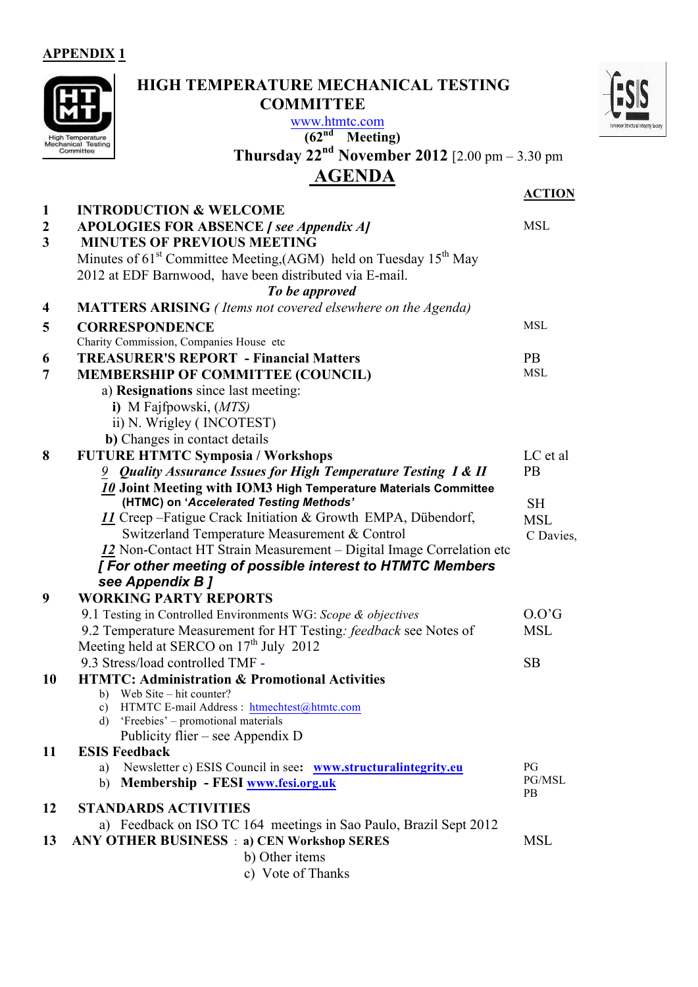**APPENDIX 1**

|                         | www.htmtc.com<br>(62 <sup>nd</sup> )<br><b>Meeting</b> )<br>ligh Temperature<br>Mechanical Testing                                 |                  |
|-------------------------|------------------------------------------------------------------------------------------------------------------------------------|------------------|
|                         | <b>Thursday 22<sup>nd</sup> November 2012</b> [2.00 pm – 3.30 pm<br>Committee                                                      |                  |
|                         | <b>AGENDA</b>                                                                                                                      |                  |
|                         |                                                                                                                                    | <b>ACTION</b>    |
| 1                       | <b>INTRODUCTION &amp; WELCOME</b>                                                                                                  |                  |
| $\boldsymbol{2}$        | <b>APOLOGIES FOR ABSENCE</b> [ see Appendix A]                                                                                     | <b>MSL</b>       |
| $\overline{\mathbf{3}}$ | <b>MINUTES OF PREVIOUS MEETING</b>                                                                                                 |                  |
|                         | Minutes of $61st$ Committee Meeting, (AGM) held on Tuesday $15th$ May                                                              |                  |
|                         | 2012 at EDF Barnwood, have been distributed via E-mail.                                                                            |                  |
|                         | To be approved                                                                                                                     |                  |
| $\overline{\mathbf{4}}$ | <b>MATTERS ARISING</b> (Items not covered elsewhere on the Agenda)                                                                 |                  |
| 5                       | <b>CORRESPONDENCE</b>                                                                                                              | <b>MSL</b>       |
|                         | Charity Commission, Companies House etc                                                                                            |                  |
| 6                       | <b>TREASURER'S REPORT - Financial Matters</b>                                                                                      | <b>PB</b>        |
| 7                       | MEMBERSHIP OF COMMITTEE (COUNCIL)                                                                                                  | <b>MSL</b>       |
|                         | a) Resignations since last meeting:                                                                                                |                  |
|                         | i) M Fajfpowski, $(MTS)$                                                                                                           |                  |
|                         | ii) N. Wrigley (INCOTEST)                                                                                                          |                  |
|                         | b) Changes in contact details                                                                                                      |                  |
| 8                       | <b>FUTURE HTMTC Symposia / Workshops</b>                                                                                           | LC et al         |
|                         | 9 Quality Assurance Issues for High Temperature Testing I & II                                                                     | PB               |
|                         | 10 Joint Meeting with IOM3 High Temperature Materials Committee                                                                    |                  |
|                         | (HTMC) on 'Accelerated Testing Methods'                                                                                            | <b>SH</b>        |
|                         | 11 Creep – Fatigue Crack Initiation & Growth EMPA, Dübendorf,                                                                      | <b>MSL</b>       |
|                         | Switzerland Temperature Measurement & Control                                                                                      | C Davies,        |
|                         | 12 Non-Contact HT Strain Measurement – Digital Image Correlation etc                                                               |                  |
|                         | [ For other meeting of possible interest to HTMTC Members                                                                          |                  |
| 9                       | see Appendix B ]<br><b>WORKING PARTY REPORTS</b>                                                                                   |                  |
|                         |                                                                                                                                    | 0.0 <sub>°</sub> |
|                         | 9.1 Testing in Controlled Environments WG: Scope & objectives<br>9.2 Temperature Measurement for HT Testing: feedback see Notes of | <b>MSL</b>       |
|                         | Meeting held at SERCO on $17th$ July 2012                                                                                          |                  |
|                         | 9.3 Stress/load controlled TMF -                                                                                                   | <b>SB</b>        |
| <b>10</b>               | <b>HTMTC: Administration &amp; Promotional Activities</b>                                                                          |                  |
|                         | Web Site – hit counter?<br>b)                                                                                                      |                  |
|                         | HTMTC E-mail Address : htmechtest@htmtc.com<br>C)                                                                                  |                  |
|                         | 'Freebies' – promotional materials<br>d)                                                                                           |                  |
|                         | Publicity flier – see Appendix D                                                                                                   |                  |
| 11                      | <b>ESIS Feedback</b>                                                                                                               |                  |
|                         | Newsletter c) ESIS Council in see: www.structuralintegrity.eu<br>a)                                                                | PG<br>PG/MSL     |
|                         | Membership - FESI www.fesi.org.uk<br>b)                                                                                            | PB               |
| 12                      | <b>STANDARDS ACTIVITIES</b>                                                                                                        |                  |
|                         | a) Feedback on ISO TC 164 meetings in Sao Paulo, Brazil Sept 2012                                                                  |                  |
| 13                      | <b>ANY OTHER BUSINESS</b> : a) CEN Workshop SERES                                                                                  | <b>MSL</b>       |
|                         | b) Other items                                                                                                                     |                  |
|                         | c) Vote of Thanks                                                                                                                  |                  |

6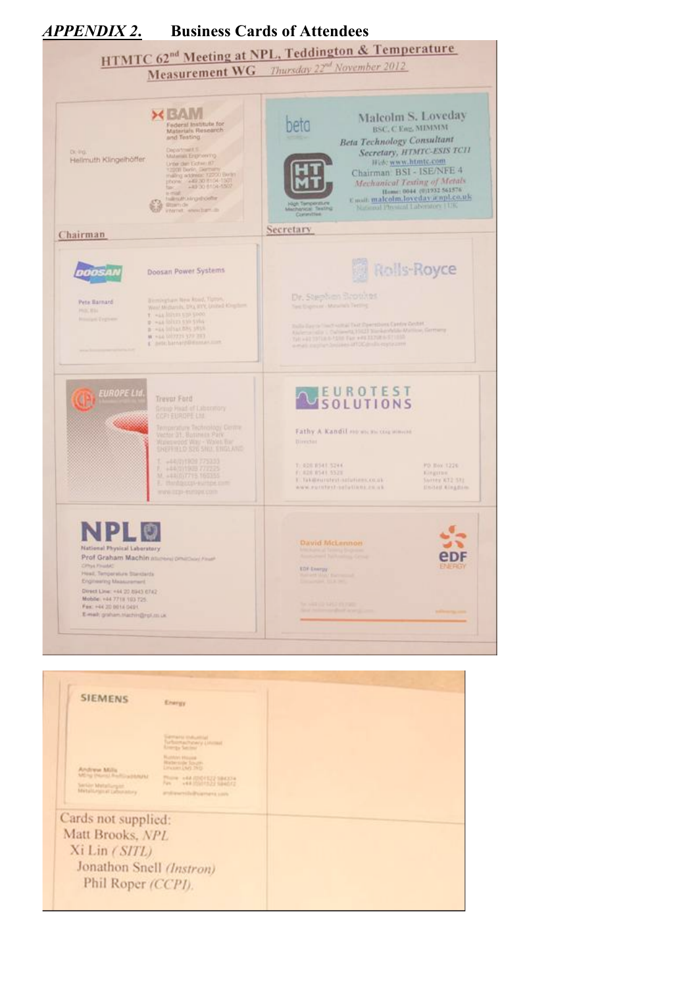

Cards not supplied: Matt Brooks, NPL Xi Lin (SITL) Jonathon Snell (Instron) Phil Roper (CCPI).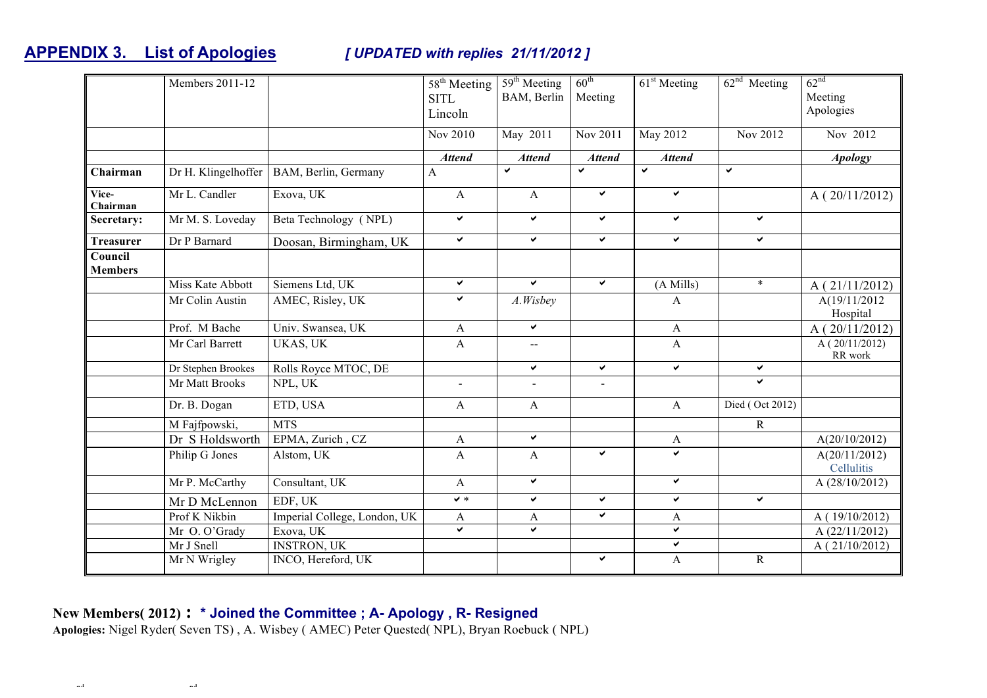### **APPENDIX 3. List of Apologies** *[ UPDATED with replies 21/11/2012 ]*

|                           | Members 2011-12     |                              | $\overline{58}$ <sup>th</sup> Meeting<br><b>SITL</b><br>Lincoln<br>Nov 2010 | 59 <sup>th</sup> Meeting<br>BAM, Berlin<br>May 2011 | $60^{\text{th}}$<br>Meeting<br>Nov 2011 | $61st$ Meeting<br>May 2012 | $62nd$ Meeting<br>Nov 2012 | 62 <sup>nd</sup><br>Meeting<br>Apologies<br>Nov 2012 |
|---------------------------|---------------------|------------------------------|-----------------------------------------------------------------------------|-----------------------------------------------------|-----------------------------------------|----------------------------|----------------------------|------------------------------------------------------|
|                           |                     |                              | <b>Attend</b>                                                               | <b>Attend</b>                                       | <b>Attend</b>                           | <b>Attend</b>              |                            | <b>Apology</b>                                       |
| Chairman                  | Dr H. Klingelhoffer | BAM, Berlin, Germany         | $\mathbf{A}$                                                                | $\checkmark$                                        | ✓                                       | $\checkmark$               | ✓                          |                                                      |
| Vice-<br>Chairman         | Mr L. Candler       | Exova, UK                    | $\mathbf{A}$                                                                | $\mathbf{A}$                                        | ✓                                       | $\checkmark$               |                            | A(20/11/2012)                                        |
| Secretary:                | Mr M. S. Loveday    | Beta Technology (NPL)        | $\checkmark$                                                                | $\checkmark$                                        | ✔                                       | $\checkmark$               | $\checkmark$               |                                                      |
| <b>Treasurer</b>          | Dr P Barnard        | Doosan, Birmingham, UK       | $\checkmark$                                                                | $\checkmark$                                        | Ý.                                      | $\checkmark$               | $\checkmark$               |                                                      |
| Council<br><b>Members</b> |                     |                              |                                                                             |                                                     |                                         |                            |                            |                                                      |
|                           | Miss Kate Abbott    | Siemens Ltd, UK              | $\checkmark$                                                                | $\checkmark$                                        | ✓                                       | (A Mills)                  | $\ast$                     | A(21/11/2012)                                        |
|                           | Mr Colin Austin     | AMEC, Risley, UK             | V                                                                           | A.Wisbey                                            |                                         | A                          |                            | A(19/11/2012<br>Hospital                             |
|                           | Prof. M Bache       | Univ. Swansea, UK            | $\mathbf{A}$                                                                | $\checkmark$                                        |                                         | $\mathbf{A}$               |                            | A(20/11/2012)                                        |
|                           | Mr Carl Barrett     | UKAS, UK                     | $\mathbf{A}$                                                                | --                                                  |                                         | $\mathbf{A}$               |                            | A(20/11/2012)<br>RR work                             |
|                           | Dr Stephen Brookes  | Rolls Royce MTOC, DE         |                                                                             | $\checkmark$                                        | ✓                                       | $\checkmark$               | $\checkmark$               |                                                      |
|                           | Mr Matt Brooks      | NPL, UK                      |                                                                             | $\blacksquare$                                      | $\sim$                                  |                            | Ý.                         |                                                      |
|                           | Dr. B. Dogan        | ETD, USA                     | $\mathbf{A}$                                                                | $\mathbf{A}$                                        |                                         | $\mathbf{A}$               | Died (Oct 2012)            |                                                      |
|                           | M Fajfpowski,       | <b>MTS</b>                   |                                                                             |                                                     |                                         |                            | ${\bf R}$                  |                                                      |
|                           | Dr S Holdsworth     | EPMA, Zurich, CZ             | $\mathbf{A}$                                                                | ✔                                                   |                                         | A                          |                            | A(20/10/2012)                                        |
|                           | Philip G Jones      | Alstom, UK                   | $\mathbf{A}$                                                                | A                                                   | ✔                                       | V                          |                            | $\overline{A(20/11/2012)}$<br>Cellulitis             |
|                           | Mr P. McCarthy      | Consultant, UK               | $\mathbf{A}$                                                                | $\checkmark$                                        |                                         | ✔                          |                            | A (28/10/2012)                                       |
|                           | Mr D McLennon       | EDF, UK                      | $\checkmark$                                                                | ✓                                                   | ✔                                       | ✔                          | $\checkmark$               |                                                      |
|                           | Prof K Nikbin       | Imperial College, London, UK | $\mathbf{A}$                                                                | A                                                   | ✓                                       | A                          |                            | A(19/10/2012)                                        |
|                           | Mr O. O'Grady       | Exova, UK                    | ✓                                                                           | ✓                                                   |                                         | $\checkmark$               |                            | A (22/11/2012)                                       |
|                           | Mr J Snell          | <b>INSTRON, UK</b>           |                                                                             |                                                     |                                         | ✓                          |                            | A(21/10/2012)                                        |
|                           | Mr N Wrigley        | INCO, Hereford, UK           |                                                                             |                                                     | ✔                                       | A                          | $\mathbf R$                |                                                      |

#### **New Members( 2012) : \* Joined the Committee ; A- Apology , R- Resigned**

HTMTC 62nd Minutes FINAL 22nd November 2012 NPL Teddington Malcolm S. Loveday ( 16/12/2012)

**Apologies:** Nigel Ryder( Seven TS) , A. Wisbey ( AMEC) Peter Quested( NPL), Bryan Roebuck ( NPL)